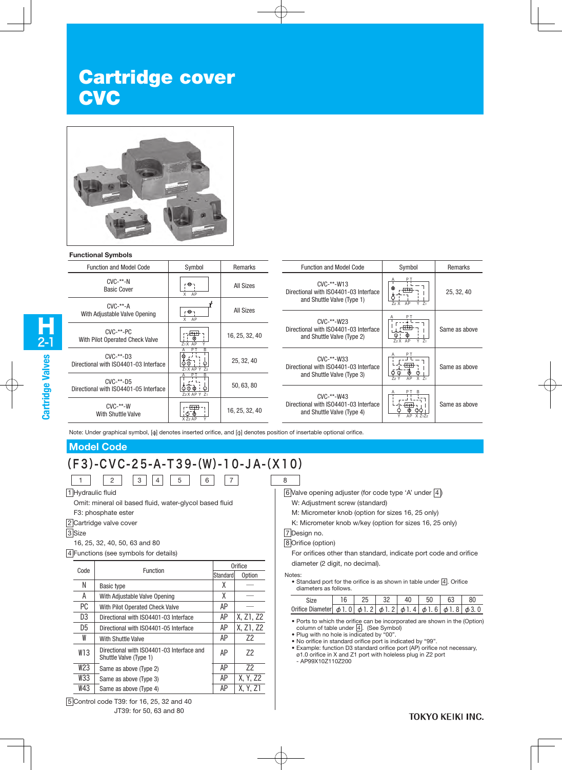# Cartridge cover **CVC**



#### **Functional Symbols**

| ו טעווועט וואוטווא ו                                  |                                                                               |                |                                                                     |                                                 |               |
|-------------------------------------------------------|-------------------------------------------------------------------------------|----------------|---------------------------------------------------------------------|-------------------------------------------------|---------------|
| <b>Function and Model Code</b>                        | Symbol                                                                        | Remarks        | <b>Function and Model Code</b>                                      | Symbol                                          | Remarks       |
| $CVC$ -**- $N$<br><b>Basic Cover</b>                  | ۳. ⊖۰۱<br>X AP                                                                | All Sizes      | $CVC$ -**- $W13$<br>Directional with ISO4401-03 Interface           | PT<br>Ф                                         | 25, 32, 40    |
| $CVC$ -**- $A$                                        | ויי⊕ז                                                                         | All Sizes      | and Shuttle Valve (Type 1)                                          | $Z_2$ $X$ $AP$<br>$\overline{Y}$ Z <sub>1</sub> |               |
| With Adjustable Valve Opening                         | X AP                                                                          |                | CVC-**-W23                                                          |                                                 | Same as above |
| $CVC$ -**- $PC$<br>With Pilot Operated Check Valve    | <del>ा (क</del><br>$Z_1X$ AP                                                  | 16, 25, 32, 40 | Directional with ISO4401-03 Interface<br>and Shuttle Valve (Type 2) | 72XAP<br>$Y$ $71$                               |               |
| $CVC-***-D3$<br>Directional with ISO4401-03 Interface | P <sub>1</sub><br>글도<br>$\phi \phi$ ]<br>Z <sub>1</sub> X AP Y Z <sub>2</sub> | 25, 32, 40     | $CVC$ -**- $W33$<br>Directional with ISO4401-03 Interface           | ↢M                                              | Same as above |
| $CVC$ -**- $D5$                                       | P٦                                                                            | 50, 63, 80     | and Shuttle Valve (Type 3)                                          | $\circ$<br>AP<br>$X$ $71$<br>72Y                |               |
| Directional with ISO4401-05 Interface                 | $\varphi \varphi \varphi$ !<br>Z <sub>2</sub> X AP Y Z <sub>1</sub>           |                | $CVC-***-W43$                                                       |                                                 |               |
| $CVC$ -**- $W$<br>With Shuttle Valve                  | ₩<br>$X$ Z <sub>2</sub> AP                                                    | 16, 25, 32, 40 | Directional with ISO4401-03 Interface<br>and Shuttle Valve (Type 4) | <del>ধি⊅</del> ।<br>რ<br>AP X Z1Z2<br>V         | Same as above |

Note: Under graphical symbol, [ ] denotes inserted orifice, and [  $\circ$  denotes position of insertable optional orifice.

### **Model Code**

# (F3)-CVC-25-A-T39-(W)-10-JA-(X10) 1 2 3 4 5 6 7

1 Hydraulic fluid

Omit: mineral oil based fluid, water-glycol based fluid

F3: phosphate ester

2 Cartridge valve cover

3<sup>Size</sup>

16, 25, 32, 40, 50, 63 and 80

4 Functions (see symbols for details)

| Code | Function                                                            | Orifice                                          |               |  |  |
|------|---------------------------------------------------------------------|--------------------------------------------------|---------------|--|--|
|      |                                                                     | Standard<br>χ<br>χ<br>AΡ<br>AΡ<br>AΡ<br>72<br>AΡ | <b>Option</b> |  |  |
| Ν    | Basic type                                                          |                                                  |               |  |  |
| A    | With Adjustable Valve Opening                                       |                                                  |               |  |  |
| РC   | With Pilot Operated Check Valve                                     |                                                  |               |  |  |
| D3   | Directional with ISO4401-03 Interface                               |                                                  | X, Z1, Z2     |  |  |
| D5   | Directional with ISO4401-05 Interface                               |                                                  | X, Z1, Z2     |  |  |
| W    | With Shuttle Valve                                                  |                                                  |               |  |  |
| W13  | Directional with ISO4401-03 Interface and<br>Shuttle Valve (Type 1) | AΡ                                               | 72            |  |  |
| W23  | Same as above (Type 2)                                              | AP                                               | 72            |  |  |
| W33  | Same as above (Type 3)                                              | AΡ                                               | X. Y. Z2      |  |  |
| W43  | Same as above (Type 4)                                              | ΑP                                               | X. Y. Z1      |  |  |

W: Adjustment screw (standard)

- M: Micrometer knob (option for sizes 16, 25 only)
- K: Micrometer knob w/key (option for sizes 16, 25 only)

#### 7 Design no. 8 Orifice (option)

For orifices other than standard, indicate port code and orifice diameter (2 digit, no decimal).

Notes:

• Standard port for the orifice is as shown in table under  $\boxed{4}$ . Orifice diameters as follows.

| Orifice Diameter $\phi$ 1, 0 $\phi$ 1, 2 $\phi$ 1, 2 $\phi$ 1, 4 $\phi$ 1, 6 $\phi$ 1, 8 $\phi$ 3, 0 |  |  |  |  |
|------------------------------------------------------------------------------------------------------|--|--|--|--|

- Ports to which the orifice can be incorporated are shown in the (Option) column of table under  $\boxed{4}$ . (See Symbol)
- Plug with no hole is indicated by "00".
- No orifice in standard orifice port is indicated by "99".
- Example: function D3 standard orifice port (AP) orifice not necessary, ø1.0 orifice in X and Z1 port with holeless plug in Z2 port - AP99X10Z110Z200

<sup>6</sup> Valve opening adjuster (for code type 'A' under  $\boxed{4}$ )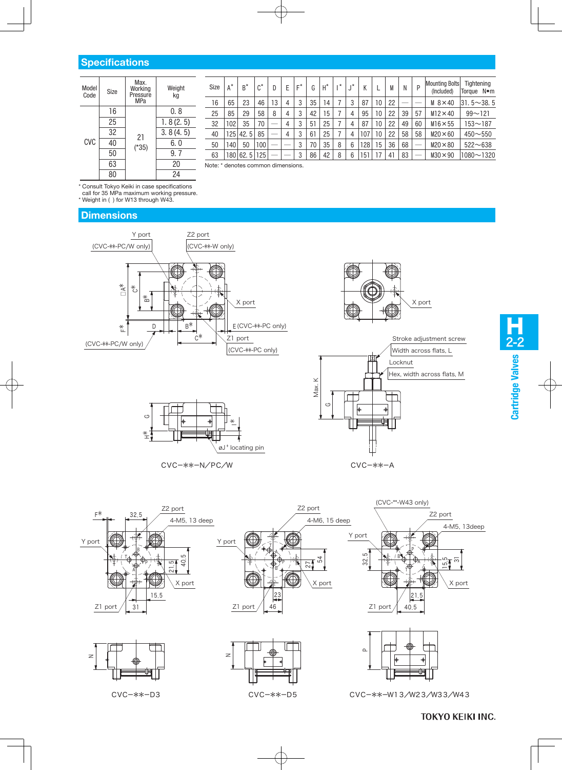#### **Specifications**

| Model<br>Code | Size | Max.<br>Working<br>Pressure<br>MPa | Weight<br>kq |
|---------------|------|------------------------------------|--------------|
|               | 16   |                                    | 0.8          |
|               | 25   |                                    | 1.8(2.5)     |
|               | 32   | 21                                 | 3.8(4.5)     |
| <b>CVC</b>    | 40   | $(*35)$                            | 6. 0         |
|               | 50   |                                    | 9.7          |
|               | 63   |                                    | 20           |
|               | 80   |                                    | 24           |

| Size | $A^*$ | $B^*$    | $\mathsf{A}^*$ | D  | E | $F^*$ | G  | $H^*$ | $\mathbf{r}$ | $\mathbf{r}$ | К    |    | M  | N  | P  | <b>Mounting Bolts</b><br>(Included) | Tightening<br>Torque Nom |
|------|-------|----------|----------------|----|---|-------|----|-------|--------------|--------------|------|----|----|----|----|-------------------------------------|--------------------------|
| 16   | 65    | 23       | 46             | 13 | 4 | 3     | 35 | 14    |              | 3            | 87   | 10 | 22 |    |    | $M_8 \times 40$                     | $31.5 \sim 38.5$         |
| 25   | 85    | 29       | 58             | 8  | 4 | 3     | 42 | 5     |              | 4            | 95   | 10 | 22 | 39 | 57 | $M12 \times 40$                     | $99 - 121$               |
| 32   | 102   | 35       | 70             | _  | 4 | 3     | 51 | 25    |              | 4            | 87   | 10 | 22 | 49 | 60 | $M16 \times 55$                     | $153 - 187$              |
| 40   | 125   | 42.5     | 85             | -  | 4 | 3     | 61 | 25    |              | 4            | 107  | 10 | 22 | 58 | 58 | $M20 \times 60$                     | $450 - 550$              |
| 50   | 140   | 50       | 100            | -  |   | 3     | 70 | 35    | 8            | 6            | 128  | 15 | 36 | 68 | -- | $M20 \times 80$                     | $522 - 638$              |
| 63   |       | 180 62.5 | 125            | _  |   | 3     | 86 | 42    | 8            | 6            | 151. |    | 41 | 83 | _  | $M30 \times 90$                     | $1080 - 1320$            |

Note: \* denotes common dimensions.

\* Consult Tokyo Keiki in case specifications

call for 35 MPa maximum working pressure.

\* Weight in ( ) for W13 through W43.

## **Dimensions**











CVC-\*\*-D3 CVC-\*\*-D5 CVC-\*\*-W13/W23/W33/W43